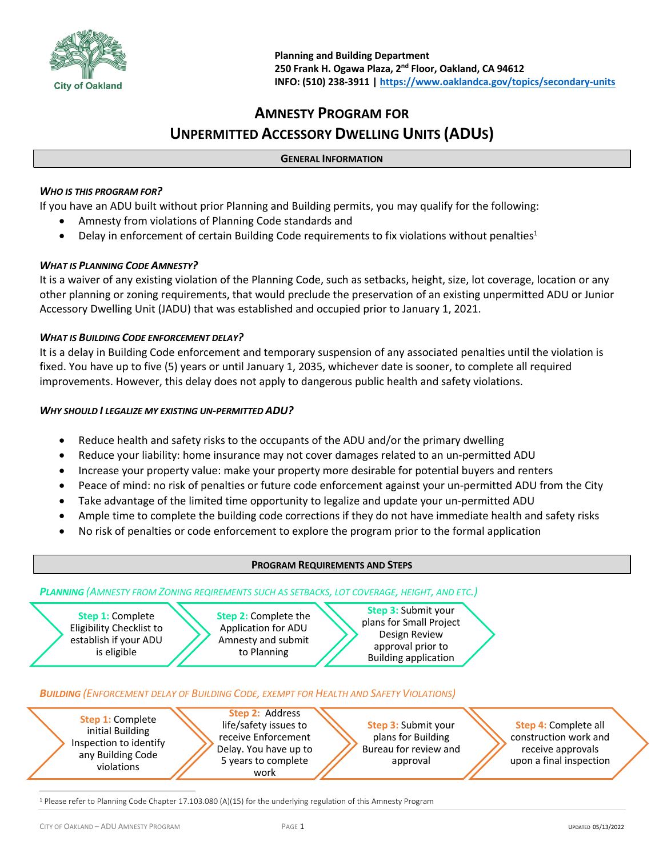

# **AMNESTY PROGRAM FOR UNPERMITTED ACCESSORY DWELLING UNITS (ADUS)**

## **GENERAL INFORMATION**

# *WHO IS THIS PROGRAM FOR?*

If you have an ADU built without prior Planning and Building permits, you may qualify for the following:

- Amnesty from violations of Planning Code standards and
- Delay in enforcement of certain Building Code requirements to fix violations without penalties<sup>1</sup>

# *WHAT IS PLANNING CODE AMNESTY?*

It is a waiver of any existing violation of the Planning Code, such as setbacks, height, size, lot coverage, location or any other planning or zoning requirements, that would preclude the preservation of an existing unpermitted ADU or Junior Accessory Dwelling Unit (JADU) that was established and occupied prior to January 1, 2021.

# *WHAT IS BUILDING CODE ENFORCEMENT DELAY?*

It is a delay in Building Code enforcement and temporary suspension of any associated penalties until the violation is fixed. You have up to five (5) years or until January 1, 2035, whichever date is sooner, to complete all required improvements. However, this delay does not apply to dangerous public health and safety violations.

### *WHY SHOULD I LEGALIZE MY EXISTING UN-PERMITTED ADU?*

- Reduce health and safety risks to the occupants of the ADU and/or the primary dwelling
- Reduce your liability: home insurance may not cover damages related to an un-permitted ADU
- Increase your property value: make your property more desirable for potential buyers and renters
- Peace of mind: no risk of penalties or future code enforcement against your un-permitted ADU from the City
- Take advantage of the limited time opportunity to legalize and update your un-permitted ADU
- Ample time to complete the building code corrections if they do not have immediate health and safety risks
- No risk of penalties or code enforcement to explore the program prior to the formal application



<sup>1</sup> Please refer to Planning Code Chapter 17.103.080 (A)(15) for the underlying regulation of this Amnesty Program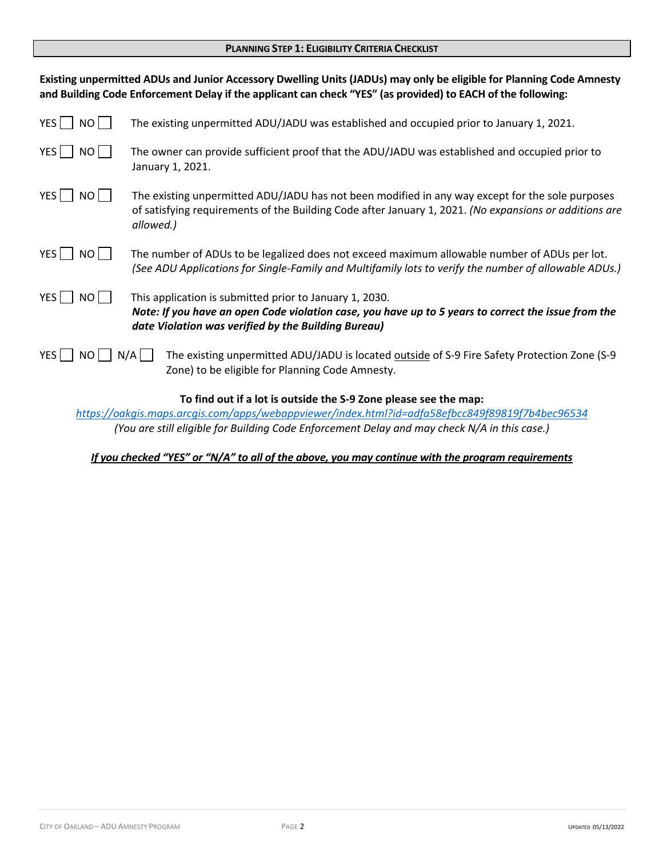#### **PLANNING STEP 1: ELIGIBILITY CRITERIA CHECKLIST**

| Existing unpermitted ADUs and Junior Accessory Dwelling Units (JADUs) may only be eligible for Planning Code Amnesty<br>and Building Code Enforcement Delay if the applicant can check "YES" (as provided) to EACH of the following: |                                                                                                                                                                                                                        |  |  |  |  |
|--------------------------------------------------------------------------------------------------------------------------------------------------------------------------------------------------------------------------------------|------------------------------------------------------------------------------------------------------------------------------------------------------------------------------------------------------------------------|--|--|--|--|
| YES  <br>NO                                                                                                                                                                                                                          | The existing unpermitted ADU/JADU was established and occupied prior to January 1, 2021.                                                                                                                               |  |  |  |  |
| YES  <br>NO                                                                                                                                                                                                                          | The owner can provide sufficient proof that the ADU/JADU was established and occupied prior to<br>January 1, 2021.                                                                                                     |  |  |  |  |
| YES  <br>NO                                                                                                                                                                                                                          | The existing unpermitted ADU/JADU has not been modified in any way except for the sole purposes<br>of satisfying requirements of the Building Code after January 1, 2021. (No expansions or additions are<br>allowed.) |  |  |  |  |
| YES  <br>NO                                                                                                                                                                                                                          | The number of ADUs to be legalized does not exceed maximum allowable number of ADUs per lot.<br>(See ADU Applications for Single-Family and Multifamily lots to verify the number of allowable ADUs.)                  |  |  |  |  |
| YES  <br>NO                                                                                                                                                                                                                          | This application is submitted prior to January 1, 2030.<br>Note: If you have an open Code violation case, you have up to 5 years to correct the issue from the<br>date Violation was verified by the Building Bureau)  |  |  |  |  |
| YES  <br>NO.                                                                                                                                                                                                                         | $N/A$  <br>The existing unpermitted ADU/JADU is located outside of S-9 Fire Safety Protection Zone (S-9<br>Zone) to be eligible for Planning Code Amnesty.                                                             |  |  |  |  |
| To find out if a lot is outside the S-9 Zone please see the map:                                                                                                                                                                     |                                                                                                                                                                                                                        |  |  |  |  |

*https://oakgis.maps.arcgis.com/apps/webappviewer/index.html?id=adfa58efbcc849f89819f7b4bec96534 (You are still eligible for Building Code Enforcement Delay and may check N/A in this case.)*

*If you checked "YES" or "N/A" to all of the above, you may continue with the program requirements*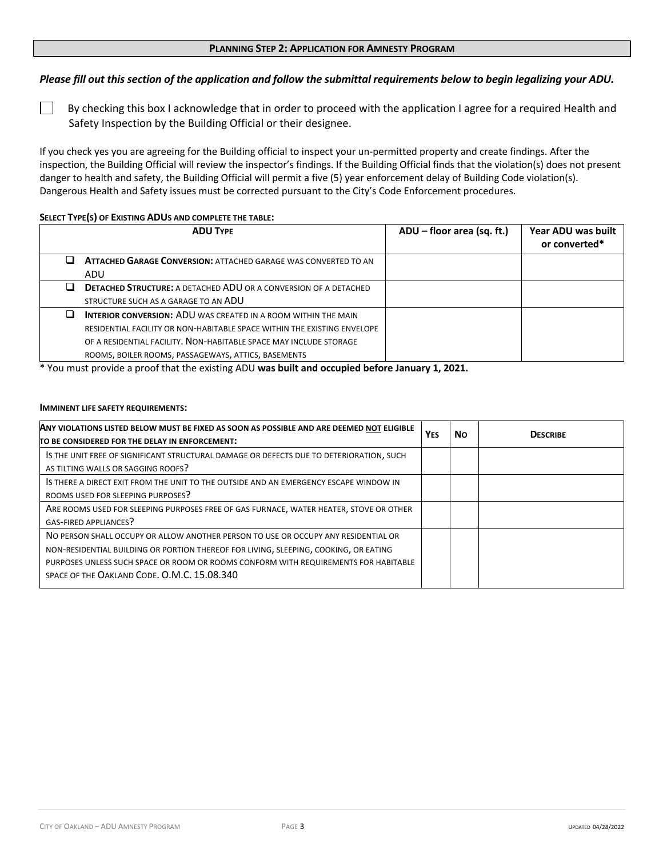#### **PLANNING STEP 2: APPLICATION FOR AMNESTY PROGRAM**

## *Please fill out this section of the application and follow the submittal requirements below to begin legalizing your ADU.*

 By checking this box I acknowledge that in order to proceed with the application I agree for a required Health and Safety Inspection by the Building Official or their designee.

If you check yes you are agreeing for the Building official to inspect your un-permitted property and create findings. After the inspection, the Building Official will review the inspector's findings. If the Building Official finds that the violation(s) does not present danger to health and safety, the Building Official will permit a five (5) year enforcement delay of Building Code violation(s). Dangerous Health and Safety issues must be corrected pursuant to the City's Code Enforcement procedures.

#### **SELECT TYPE(S) OF EXISTING ADUS AND COMPLETE THE TABLE:**

| <b>ADU TYPE</b>                                                                                                                                                                                                                                                                | $ADU - floor area (sq. ft.)$ | Year ADU was built<br>or converted* |
|--------------------------------------------------------------------------------------------------------------------------------------------------------------------------------------------------------------------------------------------------------------------------------|------------------------------|-------------------------------------|
| <b>ATTACHED GARAGE CONVERSION: ATTACHED GARAGE WAS CONVERTED TO AN</b><br>ADU                                                                                                                                                                                                  |                              |                                     |
| <b>DETACHED STRUCTURE:</b> A DETACHED ADU OR A CONVERSION OF A DETACHED<br>STRUCTURE SUCH AS A GARAGE TO AN ADU                                                                                                                                                                |                              |                                     |
| <b>INTERIOR CONVERSION: ADU WAS CREATED IN A ROOM WITHIN THE MAIN</b><br>RESIDENTIAL FACILITY OR NON-HABITABLE SPACE WITHIN THE EXISTING ENVELOPE<br>OF A RESIDENTIAL FACILITY. NON-HABITABLE SPACE MAY INCLUDE STORAGE<br>ROOMS, BOILER ROOMS, PASSAGEWAYS, ATTICS, BASEMENTS |                              |                                     |

\* You must provide a proof that the existing ADU **was built and occupied before January 1, 2021.**

#### **IMMINENT LIFE SAFETY REQUIREMENTS:**

| ANY VIOLATIONS LISTED BELOW MUST BE FIXED AS SOON AS POSSIBLE AND ARE DEEMED NOT ELIGIBLE<br>TO BE CONSIDERED FOR THE DELAY IN ENFORCEMENT:                                                                                                                                                                      |  | <b>No</b> | <b>DESCRIBE</b> |
|------------------------------------------------------------------------------------------------------------------------------------------------------------------------------------------------------------------------------------------------------------------------------------------------------------------|--|-----------|-----------------|
| IS THE UNIT FREE OF SIGNIFICANT STRUCTURAL DAMAGE OR DEFECTS DUE TO DETERIORATION, SUCH<br>AS TILTING WALLS OR SAGGING ROOFS?                                                                                                                                                                                    |  |           |                 |
| IS THERE A DIRECT EXIT FROM THE UNIT TO THE OUTSIDE AND AN EMERGENCY ESCAPE WINDOW IN<br>ROOMS USED FOR SLEEPING PURPOSES?                                                                                                                                                                                       |  |           |                 |
| ARE ROOMS USED FOR SLEEPING PURPOSES FREE OF GAS FURNACE, WATER HEATER, STOVE OR OTHER<br>GAS-FIRED APPLIANCES?                                                                                                                                                                                                  |  |           |                 |
| NO PERSON SHALL OCCUPY OR ALLOW ANOTHER PERSON TO USE OR OCCUPY ANY RESIDENTIAL OR<br>NON-RESIDENTIAL BUILDING OR PORTION THEREOF FOR LIVING, SLEEPING, COOKING, OR EATING<br>PURPOSES UNLESS SUCH SPACE OR ROOM OR ROOMS CONFORM WITH REQUIREMENTS FOR HABITABLE<br>SPACE OF THE OAKLAND CODE, O.M.C. 15.08.340 |  |           |                 |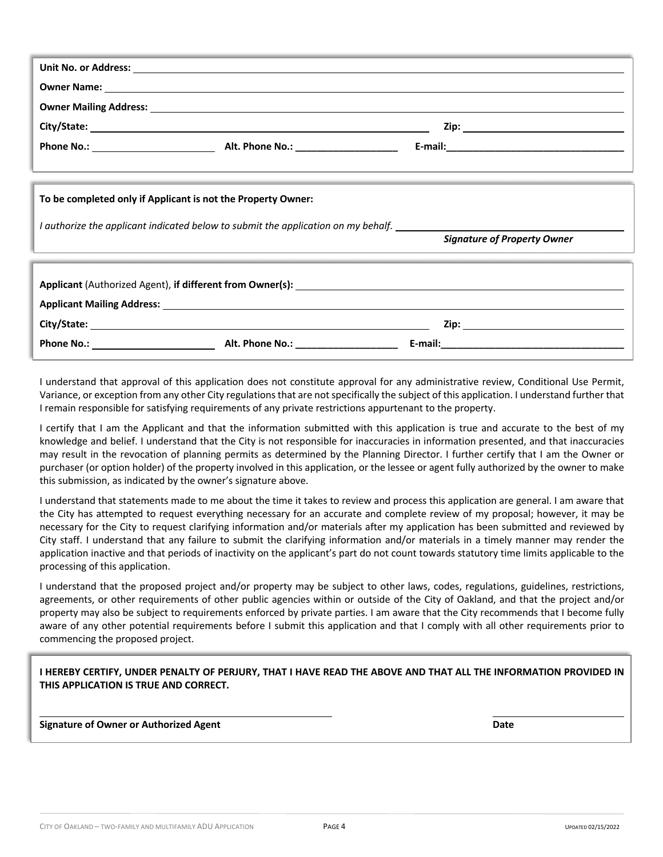|                                                                                   | Owner Name: 1988 and 2008 and 2008 and 2008 and 2008 and 2008 and 2008 and 2008 and 2008 and 2008 and 2008 and 2008 and 2008 and 2008 and 2008 and 2008 and 2008 and 2008 and 2008 and 2008 and 2008 and 2008 and 2008 and 200 |                                    |  |  |  |  |  |
|-----------------------------------------------------------------------------------|--------------------------------------------------------------------------------------------------------------------------------------------------------------------------------------------------------------------------------|------------------------------------|--|--|--|--|--|
|                                                                                   |                                                                                                                                                                                                                                |                                    |  |  |  |  |  |
|                                                                                   |                                                                                                                                                                                                                                |                                    |  |  |  |  |  |
|                                                                                   |                                                                                                                                                                                                                                |                                    |  |  |  |  |  |
|                                                                                   |                                                                                                                                                                                                                                |                                    |  |  |  |  |  |
|                                                                                   |                                                                                                                                                                                                                                |                                    |  |  |  |  |  |
| To be completed only if Applicant is not the Property Owner:                      |                                                                                                                                                                                                                                |                                    |  |  |  |  |  |
| I authorize the applicant indicated below to submit the application on my behalf. |                                                                                                                                                                                                                                |                                    |  |  |  |  |  |
|                                                                                   |                                                                                                                                                                                                                                | <b>Signature of Property Owner</b> |  |  |  |  |  |
|                                                                                   |                                                                                                                                                                                                                                |                                    |  |  |  |  |  |
|                                                                                   |                                                                                                                                                                                                                                |                                    |  |  |  |  |  |
|                                                                                   |                                                                                                                                                                                                                                |                                    |  |  |  |  |  |
|                                                                                   |                                                                                                                                                                                                                                |                                    |  |  |  |  |  |
|                                                                                   |                                                                                                                                                                                                                                |                                    |  |  |  |  |  |
|                                                                                   |                                                                                                                                                                                                                                |                                    |  |  |  |  |  |
|                                                                                   |                                                                                                                                                                                                                                |                                    |  |  |  |  |  |

I understand that approval of this application does not constitute approval for any administrative review, Conditional Use Permit, Variance, or exception from any other City regulations that are not specifically the subject of this application. I understand further that I remain responsible for satisfying requirements of any private restrictions appurtenant to the property.

I certify that I am the Applicant and that the information submitted with this application is true and accurate to the best of my knowledge and belief. I understand that the City is not responsible for inaccuracies in information presented, and that inaccuracies may result in the revocation of planning permits as determined by the Planning Director. I further certify that I am the Owner or purchaser (or option holder) of the property involved in this application, or the lessee or agent fully authorized by the owner to make this submission, as indicated by the owner's signature above.

I understand that statements made to me about the time it takes to review and process this application are general. I am aware that the City has attempted to request everything necessary for an accurate and complete review of my proposal; however, it may be necessary for the City to request clarifying information and/or materials after my application has been submitted and reviewed by City staff. I understand that any failure to submit the clarifying information and/or materials in a timely manner may render the application inactive and that periods of inactivity on the applicant's part do not count towards statutory time limits applicable to the processing of this application.

I understand that the proposed project and/or property may be subject to other laws, codes, regulations, guidelines, restrictions, agreements, or other requirements of other public agencies within or outside of the City of Oakland, and that the project and/or property may also be subject to requirements enforced by private parties. I am aware that the City recommends that I become fully aware of any other potential requirements before I submit this application and that I comply with all other requirements prior to commencing the proposed project.

**I HEREBY CERTIFY, UNDER PENALTY OF PERJURY, THAT I HAVE READ THE ABOVE AND THAT ALL THE INFORMATION PROVIDED IN THIS APPLICATION IS TRUE AND CORRECT.** 

#### **Signature of Owner or Authorized Agent Date**